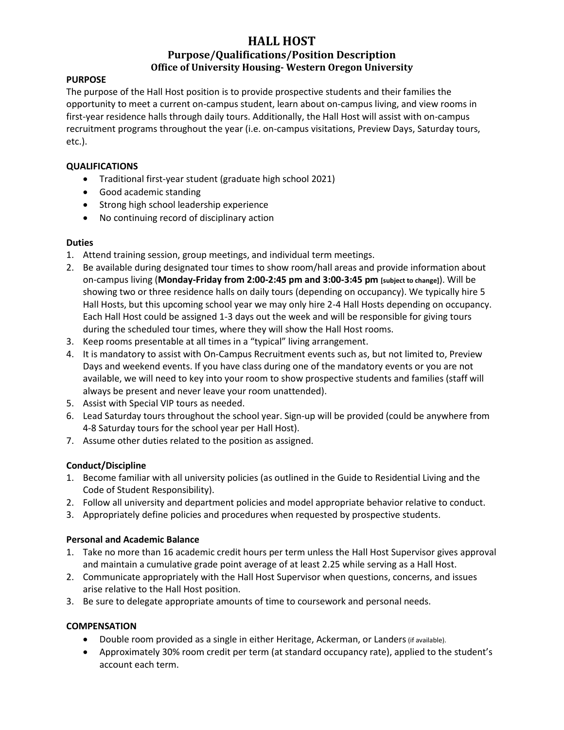## **HALL HOST**

### **Purpose/Qualifications/Position Description Office of University Housing- Western Oregon University**

#### **PURPOSE**

The purpose of the Hall Host position is to provide prospective students and their families the opportunity to meet a current on-campus student, learn about on-campus living, and view rooms in first-year residence halls through daily tours. Additionally, the Hall Host will assist with on-campus recruitment programs throughout the year (i.e. on-campus visitations, Preview Days, Saturday tours, etc.).

#### **QUALIFICATIONS**

- Traditional first-year student (graduate high school 2021)
- Good academic standing
- Strong high school leadership experience
- No continuing record of disciplinary action

#### **Duties**

- 1. Attend training session, group meetings, and individual term meetings.
- 2. Be available during designated tour times to show room/hall areas and provide information about on-campus living (**Monday-Friday from 2:00-2:45 pm and 3:00-3:45 pm [subject to change]**). Will be showing two or three residence halls on daily tours (depending on occupancy). We typically hire 5 Hall Hosts, but this upcoming school year we may only hire 2-4 Hall Hosts depending on occupancy. Each Hall Host could be assigned 1-3 days out the week and will be responsible for giving tours during the scheduled tour times, where they will show the Hall Host rooms.
- 3. Keep rooms presentable at all times in a "typical" living arrangement.
- 4. It is mandatory to assist with On-Campus Recruitment events such as, but not limited to, Preview Days and weekend events. If you have class during one of the mandatory events or you are not available, we will need to key into your room to show prospective students and families (staff will always be present and never leave your room unattended).
- 5. Assist with Special VIP tours as needed.
- 6. Lead Saturday tours throughout the school year. Sign-up will be provided (could be anywhere from 4-8 Saturday tours for the school year per Hall Host).
- 7. Assume other duties related to the position as assigned.

#### **Conduct/Discipline**

- 1. Become familiar with all university policies (as outlined in the Guide to Residential Living and the Code of Student Responsibility).
- 2. Follow all university and department policies and model appropriate behavior relative to conduct.
- 3. Appropriately define policies and procedures when requested by prospective students.

#### **Personal and Academic Balance**

- 1. Take no more than 16 academic credit hours per term unless the Hall Host Supervisor gives approval and maintain a cumulative grade point average of at least 2.25 while serving as a Hall Host.
- 2. Communicate appropriately with the Hall Host Supervisor when questions, concerns, and issues arise relative to the Hall Host position.
- 3. Be sure to delegate appropriate amounts of time to coursework and personal needs.

#### **COMPENSATION**

- Double room provided as a single in either Heritage, Ackerman, or Landers (if available).
- Approximately 30% room credit per term (at standard occupancy rate), applied to the student's account each term.